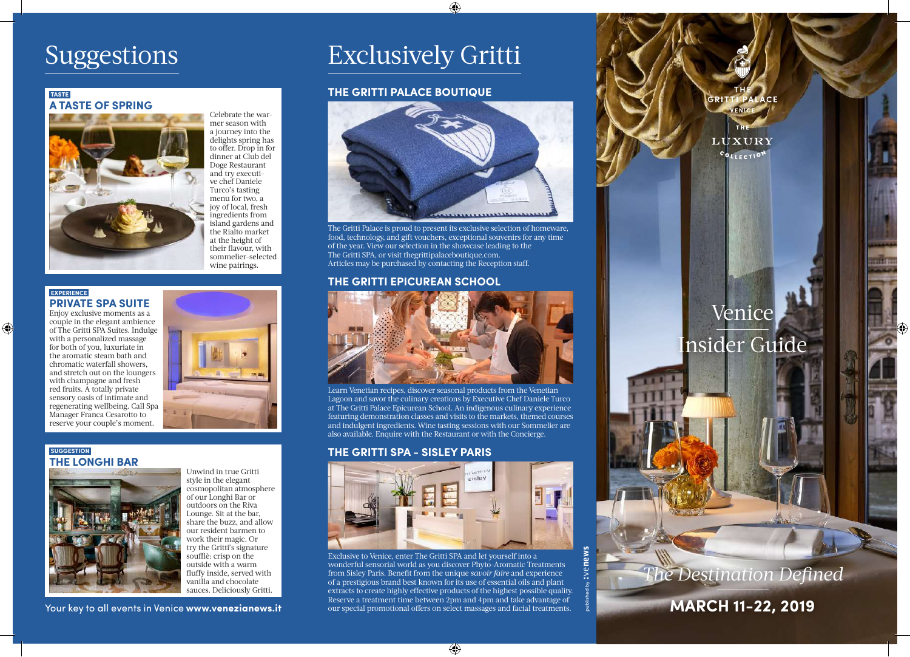# Suggestions

# **TASTE A TASTE OF SPRING**



Celebrate the warmer season with a journey into the delights spring has to offer. Drop in for dinner at Club del Doge Restaurant and try executive chef Daniele Turco's tasting menu for two, a joy of local, fresh ingredients from island gardens and the Rialto market at the height of their flavour, with sommelier-selected wine pairings.

### **EXPERIENCE PRIVATE SPA SUITE** Enjoy exclusive moments as a

 $\bigoplus$ 

couple in the elegant ambience of The Gritti SPA Suites. Indulge with a personalized massage for both of you, luxuriate in the aromatic steam bath and chromatic waterfall showers, and stretch out on the loungers with champagne and fresh red fruits. A totally private sensory oasis of intimate and regenerating wellbeing. Call Spa Manager Franca Cesarotto to reserve your couple's moment.



## **SUGGESTION THE LONGHI BAR**



Unwind in true Gritti style in the elegant cosmopolitan atmosphere of our Longhi Bar or outdoors on the Riva Lounge. Sit at the bar, share the buzz, and allow our resident barmen to work their magic. Or try the Gritti's signature soufflè: crisp on the outside with a warm fluffy inside, served with vanilla and chocolate sauces. Deliciously Gritti.

Your key to all events in Venice www.venezianews.it

# Exclusively Gritti

# **THE GRITTI PALACE BOUTIQUE**



⊕

The Gritti Palace is proud to present its exclusive selection of homeware, food, technology, and gift vouchers, exceptional souvenirs for any time of the year. View our selection in the showcase leading to the The Gritti SPA, or visit thegrittipalaceboutique.com. Articles may be purchased by contacting the Reception staff.

# **THE GRITTI EPICUREAN SCHOOL**



Learn Venetian recipes, discover seasonal products from the Venetian Lagoon and savor the culinary creations by Executive Chef Daniele Turco at The Gritti Palace Epicurean School. An indigenous culinary experience featuring demonstration classes and visits to the markets, themed courses and indulgent ingredients. Wine tasting sessions with our Sommelier are also available. Enquire with the Restaurant or with the Concierge.

# **THE GRITTI SPA - SISLEY PARIS**



Exclusive to Venice, enter The Gritti SPA and let yourself into a wonderful sensorial world as you discover Phyto-Aromatic Treatments from Sisley Paris. Benefit from the unique *savoir faire* and experience of a prestigious brand best known for its use of essential oils and plant extracts to create highly effective products of the highest possible quality. Reserve a treatment time between 2pm and 4pm and take advantage of our special promotional offers on select massages and facial treatments.

 $\bigoplus$ 



**MARCH 11-22, 2019**